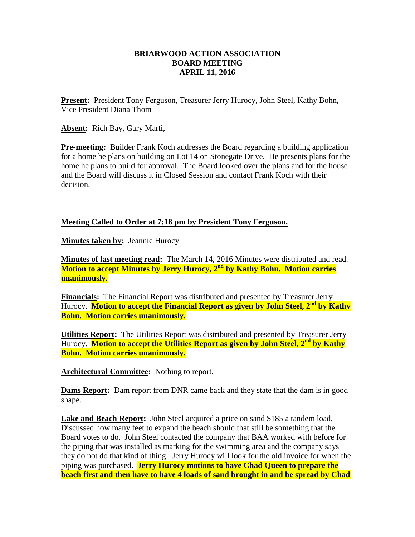## **BRIARWOOD ACTION ASSOCIATION BOARD MEETING APRIL 11, 2016**

**Present:** President Tony Ferguson, Treasurer Jerry Hurocy, John Steel, Kathy Bohn, Vice President Diana Thom

**Absent:** Rich Bay, Gary Marti,

**Pre-meeting:** Builder Frank Koch addresses the Board regarding a building application for a home he plans on building on Lot 14 on Stonegate Drive. He presents plans for the home he plans to build for approval. The Board looked over the plans and for the house and the Board will discuss it in Closed Session and contact Frank Koch with their decision.

## **Meeting Called to Order at 7:18 pm by President Tony Ferguson.**

**Minutes taken by: Jeannie Hurocy** 

**Minutes of last meeting read:** The March 14, 2016 Minutes were distributed and read. **Motion to accept Minutes by Jerry Hurocy, 2nd by Kathy Bohn. Motion carries unanimously.**

**Financials:** The Financial Report was distributed and presented by Treasurer Jerry Hurocy. **Motion to accept the Financial Report as given by John Steel, 2nd by Kathy Bohn. Motion carries unanimously.**

**Utilities Report:** The Utilities Report was distributed and presented by Treasurer Jerry Hurocy. **Motion to accept the Utilities Report as given by John Steel, 2nd by Kathy Bohn. Motion carries unanimously.**

**Architectural Committee:** Nothing to report.

**Dams Report:** Dam report from DNR came back and they state that the dam is in good shape.

**Lake and Beach Report:** John Steel acquired a price on sand \$185 a tandem load. Discussed how many feet to expand the beach should that still be something that the Board votes to do. John Steel contacted the company that BAA worked with before for the piping that was installed as marking for the swimming area and the company says they do not do that kind of thing. Jerry Hurocy will look for the old invoice for when the piping was purchased. **Jerry Hurocy motions to have Chad Queen to prepare the beach first and then have to have 4 loads of sand brought in and be spread by Chad**